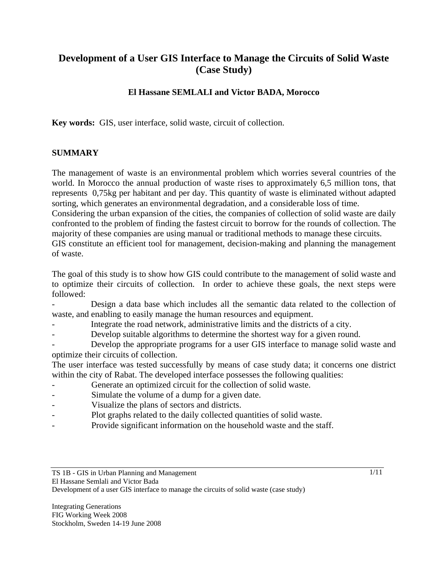# **Development of a User GIS Interface to Manage the Circuits of Solid Waste (Case Study)**

# **El Hassane SEMLALI and Victor BADA, Morocco**

**Key words:** GIS, user interface, solid waste, circuit of collection.

### **SUMMARY**

The management of waste is an environmental problem which worries several countries of the world. In Morocco the annual production of waste rises to approximately 6,5 million tons, that represents 0,75kg per habitant and per day. This quantity of waste is eliminated without adapted sorting, which generates an environmental degradation, and a considerable loss of time.

Considering the urban expansion of the cities, the companies of collection of solid waste are daily confronted to the problem of finding the fastest circuit to borrow for the rounds of collection. The majority of these companies are using manual or traditional methods to manage these circuits.

GIS constitute an efficient tool for management, decision-making and planning the management of waste.

The goal of this study is to show how GIS could contribute to the management of solid waste and to optimize their circuits of collection. In order to achieve these goals, the next steps were followed:

Design a data base which includes all the semantic data related to the collection of waste, and enabling to easily manage the human resources and equipment.

- Integrate the road network, administrative limits and the districts of a city.
- Develop suitable algorithms to determine the shortest way for a given round.

Develop the appropriate programs for a user GIS interface to manage solid waste and optimize their circuits of collection.

The user interface was tested successfully by means of case study data; it concerns one district within the city of Rabat. The developed interface possesses the following qualities:

- Generate an optimized circuit for the collection of solid waste.
- Simulate the volume of a dump for a given date.
- Visualize the plans of sectors and districts.
- Plot graphs related to the daily collected quantities of solid waste.
- Provide significant information on the household waste and the staff.

TS 1B - GIS in Urban Planning and Management

1/11

El Hassane Semlali and Victor Bada

Development of a user GIS interface to manage the circuits of solid waste (case study)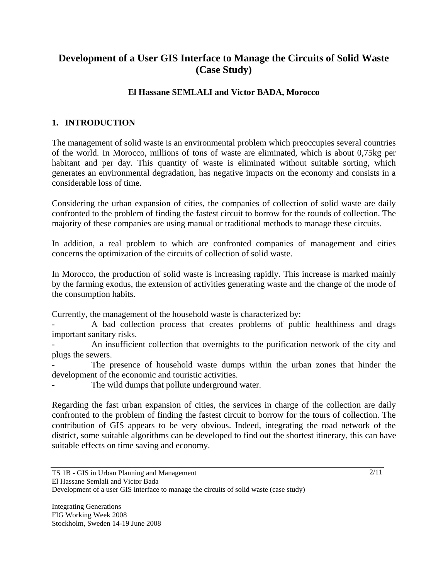# **Development of a User GIS Interface to Manage the Circuits of Solid Waste (Case Study)**

# **El Hassane SEMLALI and Victor BADA, Morocco**

# **1. INTRODUCTION**

The management of solid waste is an environmental problem which preoccupies several countries of the world. In Morocco, millions of tons of waste are eliminated, which is about 0,75kg per habitant and per day. This quantity of waste is eliminated without suitable sorting, which generates an environmental degradation, has negative impacts on the economy and consists in a considerable loss of time.

Considering the urban expansion of cities, the companies of collection of solid waste are daily confronted to the problem of finding the fastest circuit to borrow for the rounds of collection. The majority of these companies are using manual or traditional methods to manage these circuits.

In addition, a real problem to which are confronted companies of management and cities concerns the optimization of the circuits of collection of solid waste.

In Morocco, the production of solid waste is increasing rapidly. This increase is marked mainly by the farming exodus, the extension of activities generating waste and the change of the mode of the consumption habits.

Currently, the management of the household waste is characterized by:

A bad collection process that creates problems of public healthiness and drags important sanitary risks.

An insufficient collection that overnights to the purification network of the city and plugs the sewers.

The presence of household waste dumps within the urban zones that hinder the development of the economic and touristic activities.

The wild dumps that pollute underground water.

Regarding the fast urban expansion of cities, the services in charge of the collection are daily confronted to the problem of finding the fastest circuit to borrow for the tours of collection. The contribution of GIS appears to be very obvious. Indeed, integrating the road network of the district, some suitable algorithms can be developed to find out the shortest itinerary, this can have suitable effects on time saving and economy.

TS 1B - GIS in Urban Planning and Management El Hassane Semlali and Victor Bada Development of a user GIS interface to manage the circuits of solid waste (case study)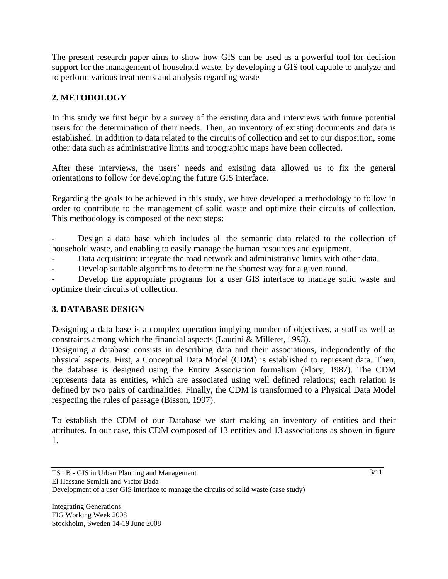The present research paper aims to show how GIS can be used as a powerful tool for decision support for the management of household waste, by developing a GIS tool capable to analyze and to perform various treatments and analysis regarding waste

# **2. METODOLOGY**

In this study we first begin by a survey of the existing data and interviews with future potential users for the determination of their needs. Then, an inventory of existing documents and data is established. In addition to data related to the circuits of collection and set to our disposition, some other data such as administrative limits and topographic maps have been collected.

After these interviews, the users' needs and existing data allowed us to fix the general orientations to follow for developing the future GIS interface.

Regarding the goals to be achieved in this study, we have developed a methodology to follow in order to contribute to the management of solid waste and optimize their circuits of collection. This methodology is composed of the next steps:

Design a data base which includes all the semantic data related to the collection of household waste, and enabling to easily manage the human resources and equipment.

Data acquisition: integrate the road network and administrative limits with other data.

Develop suitable algorithms to determine the shortest way for a given round.

Develop the appropriate programs for a user GIS interface to manage solid waste and optimize their circuits of collection.

# **3. DATABASE DESIGN**

Designing a data base is a complex operation implying number of objectives, a staff as well as constraints among which the financial aspects (Laurini & Milleret, 1993).

Designing a database consists in describing data and their associations, independently of the physical aspects. First, a Conceptual Data Model (CDM) is established to represent data. Then, the database is designed using the Entity Association formalism (Flory, 1987). The CDM represents data as entities, which are associated using well defined relations; each relation is defined by two pairs of cardinalities. Finally, the CDM is transformed to a Physical Data Model respecting the rules of passage (Bisson, 1997).

To establish the CDM of our Database we start making an inventory of entities and their attributes. In our case, this CDM composed of 13 entities and 13 associations as shown in figure 1.

TS 1B - GIS in Urban Planning and Management El Hassane Semlali and Victor Bada Development of a user GIS interface to manage the circuits of solid waste (case study)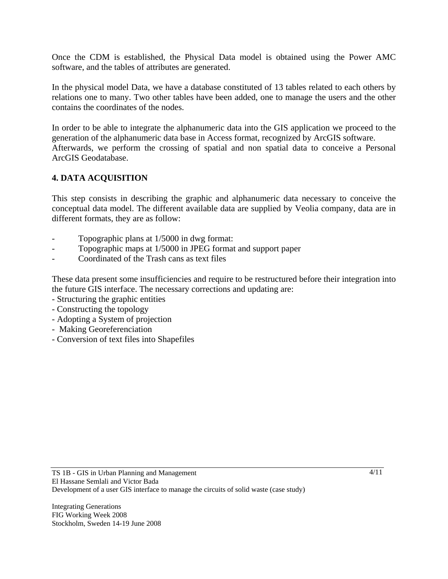Once the CDM is established, the Physical Data model is obtained using the Power AMC software, and the tables of attributes are generated.

In the physical model Data, we have a database constituted of 13 tables related to each others by relations one to many. Two other tables have been added, one to manage the users and the other contains the coordinates of the nodes.

In order to be able to integrate the alphanumeric data into the GIS application we proceed to the generation of the alphanumeric data base in Access format, recognized by ArcGIS software. Afterwards, we perform the crossing of spatial and non spatial data to conceive a Personal ArcGIS Geodatabase.

## **4. DATA ACQUISITION**

This step consists in describing the graphic and alphanumeric data necessary to conceive the conceptual data model. The different available data are supplied by Veolia company, data are in different formats, they are as follow:

- Topographic plans at  $1/5000$  in dwg format:
- Topographic maps at  $1/5000$  in JPEG format and support paper
- Coordinated of the Trash cans as text files

These data present some insufficiencies and require to be restructured before their integration into the future GIS interface. The necessary corrections and updating are:

- Structuring the graphic entities
- Constructing the topology
- Adopting a System of projection
- Making Georeferenciation
- Conversion of text files into Shapefiles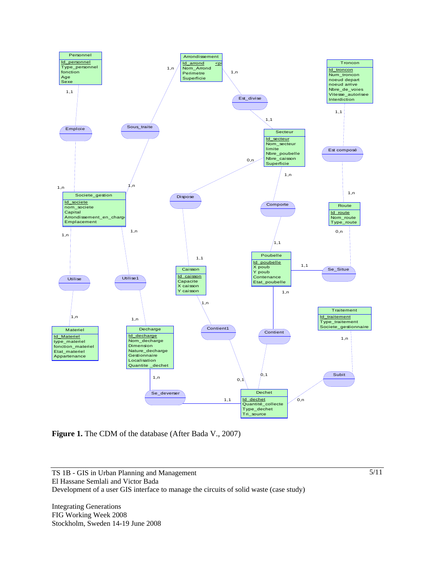

Figure 1. The CDM of the database (After Bada V., 2007)

Integrating Generations FIG Working Week 2008 Stockholm, Sweden 14-19 June 2008 5/11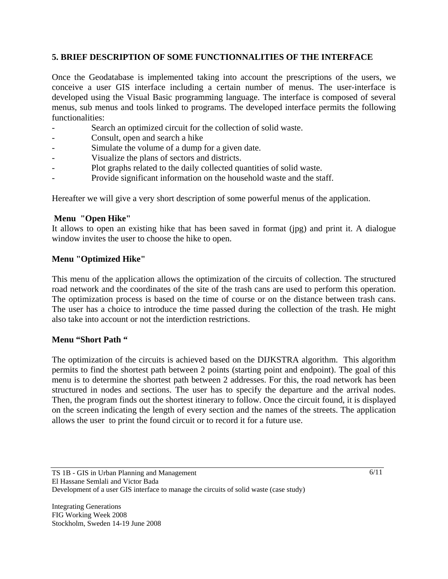### **5. BRIEF DESCRIPTION OF SOME FUNCTIONNALITIES OF THE INTERFACE**

Once the Geodatabase is implemented taking into account the prescriptions of the users, we conceive a user GIS interface including a certain number of menus. The user-interface is developed using the Visual Basic programming language. The interface is composed of several menus, sub menus and tools linked to programs. The developed interface permits the following functionalities:

- Search an optimized circuit for the collection of solid waste.
- Consult, open and search a hike
- Simulate the volume of a dump for a given date.
- Visualize the plans of sectors and districts.
- Plot graphs related to the daily collected quantities of solid waste.
- Provide significant information on the household waste and the staff.

Hereafter we will give a very short description of some powerful menus of the application.

#### **Menu "Open Hike"**

It allows to open an existing hike that has been saved in format (jpg) and print it. A dialogue window invites the user to choose the hike to open.

#### **Menu "Optimized Hike"**

This menu of the application allows the optimization of the circuits of collection. The structured road network and the coordinates of the site of the trash cans are used to perform this operation. The optimization process is based on the time of course or on the distance between trash cans. The user has a choice to introduce the time passed during the collection of the trash. He might also take into account or not the interdiction restrictions.

#### **Menu "Short Path "**

The optimization of the circuits is achieved based on the DIJKSTRA algorithm. This algorithm permits to find the shortest path between 2 points (starting point and endpoint). The goal of this menu is to determine the shortest path between 2 addresses. For this, the road network has been structured in nodes and sections. The user has to specify the departure and the arrival nodes. Then, the program finds out the shortest itinerary to follow. Once the circuit found, it is displayed on the screen indicating the length of every section and the names of the streets. The application allows the user to print the found circuit or to record it for a future use.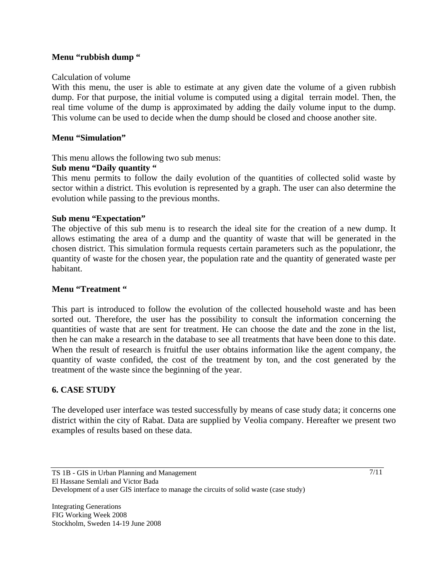#### **Menu "rubbish dump "**

#### Calculation of volume

With this menu, the user is able to estimate at any given date the volume of a given rubbish dump. For that purpose, the initial volume is computed using a digital terrain model. Then, the real time volume of the dump is approximated by adding the daily volume input to the dump. This volume can be used to decide when the dump should be closed and choose another site.

#### **Menu "Simulation"**

This menu allows the following two sub menus:

#### **Sub menu "Daily quantity "**

This menu permits to follow the daily evolution of the quantities of collected solid waste by sector within a district. This evolution is represented by a graph. The user can also determine the evolution while passing to the previous months.

### **Sub menu "Expectation"**

The objective of this sub menu is to research the ideal site for the creation of a new dump. It allows estimating the area of a dump and the quantity of waste that will be generated in the chosen district. This simulation formula requests certain parameters such as the populationr, the quantity of waste for the chosen year, the population rate and the quantity of generated waste per habitant.

#### **Menu "Treatment "**

This part is introduced to follow the evolution of the collected household waste and has been sorted out. Therefore, the user has the possibility to consult the information concerning the quantities of waste that are sent for treatment. He can choose the date and the zone in the list, then he can make a research in the database to see all treatments that have been done to this date. When the result of research is fruitful the user obtains information like the agent company, the quantity of waste confided, the cost of the treatment by ton, and the cost generated by the treatment of the waste since the beginning of the year.

### **6. CASE STUDY**

The developed user interface was tested successfully by means of case study data; it concerns one district within the city of Rabat. Data are supplied by Veolia company. Hereafter we present two examples of results based on these data.

Integrating Generations FIG Working Week 2008 Stockholm, Sweden 14-19 June 2008  $\frac{7}{11}$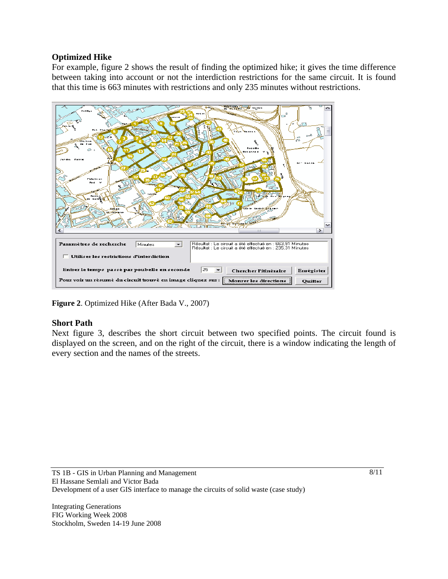### **Optimized Hike**

For example, figure 2 shows the result of finding the optimized hike; it gives the time difference between taking into account or not the interdiction restrictions for the same circuit. It is found that this time is 663 minutes with restrictions and only 235 minutes without restrictions.



**Figure 2**. Optimized Hike (After Bada V., 2007)

### **Short Path**

Next figure 3, describes the short circuit between two specified points. The circuit found is displayed on the screen, and on the right of the circuit, there is a window indicating the length of every section and the names of the streets.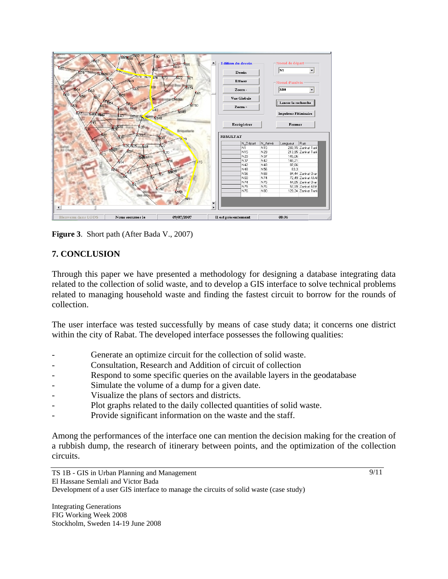

**Figure 3**. Short path (After Bada V., 2007)

## **7. CONCLUSION**

Through this paper we have presented a methodology for designing a database integrating data related to the collection of solid waste, and to develop a GIS interface to solve technical problems related to managing household waste and finding the fastest circuit to borrow for the rounds of collection.

The user interface was tested successfully by means of case study data; it concerns one district within the city of Rabat. The developed interface possesses the following qualities:

- Generate an optimize circuit for the collection of solid waste.
- Consultation, Research and Addition of circuit of collection
- Respond to some specific queries on the available layers in the geodatabase
- Simulate the volume of a dump for a given date.
- Visualize the plans of sectors and districts.
- Plot graphs related to the daily collected quantities of solid waste.
- Provide significant information on the waste and the staff.

Among the performances of the interface one can mention the decision making for the creation of a rubbish dump, the research of itinerary between points, and the optimization of the collection circuits.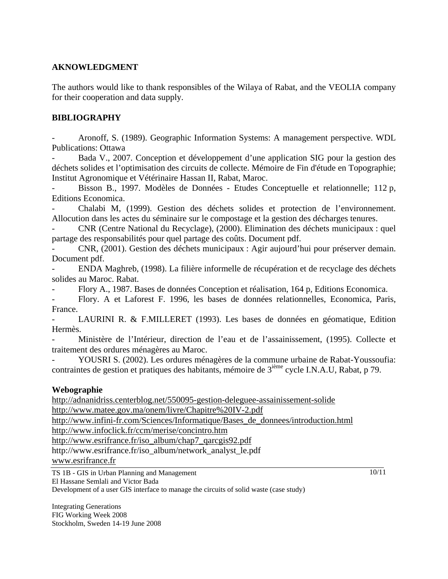### **AKNOWLEDGMENT**

The authors would like to thank responsibles of the Wilaya of Rabat, and the VEOLIA company for their cooperation and data supply.

#### **BIBLIOGRAPHY**

- Aronoff, S. (1989). Geographic Information Systems: A management perspective. WDL Publications: Ottawa

- Bada V., 2007. Conception et développement d'une application SIG pour la gestion des déchets solides et l'optimisation des circuits de collecte. Mémoire de Fin d'étude en Topographie; Institut Agronomique et Vétérinaire Hassan II, Rabat, Maroc.

Bisson B., 1997. Modèles de Données - Etudes Conceptuelle et relationnelle; 112 p, Editions Economica.

- Chalabi M, (1999). Gestion des déchets solides et protection de l'environnement. Allocution dans les actes du séminaire sur le compostage et la gestion des décharges tenures.

- CNR (Centre National du Recyclage), (2000). Elimination des déchets municipaux : quel partage des responsabilités pour quel partage des coûts. Document pdf.

- CNR, (2001). Gestion des déchets municipaux : Agir aujourd'hui pour préserver demain. Document pdf.

- ENDA Maghreb, (1998). La filière informelle de récupération et de recyclage des déchets solides au Maroc. Rabat.

- Flory A., 1987. Bases de données Conception et réalisation, 164 p, Editions Economica.

- Flory. A et Laforest F. 1996, les bases de données relationnelles, Economica, Paris, France.

- LAURINI R. & F.MILLERET (1993). Les bases de données en géomatique, Edition Hermès.

- Ministère de l'Intérieur, direction de l'eau et de l'assainissement, (1995). Collecte et traitement des ordures ménagères au Maroc.

- YOUSRI S. (2002). Les ordures ménagères de la commune urbaine de Rabat-Youssoufia: contraintes de gestion et pratiques des habitants, mémoire de 3<sup>ième</sup> cycle I.N.A.U, Rabat, p 79.

#### **Webographie**

http://adnanidriss.centerblog.net/550095-gestion-deleguee-assainissement-solide http://www.matee.gov.ma/onem/livre/Chapitre%20IV-2.pdf

http://www.infini-fr.com/Sciences/Informatique/Bases\_de\_donnees/introduction.html

http://www.infoclick.fr/ccm/merise/concintro.htm

http://www.esrifrance.fr/iso\_album/chap7\_qarcgis92.pdf

http://www.esrifrance.fr/iso\_album/network\_analyst\_le.pdf

www.esrifrance.fr

TS 1B - GIS in Urban Planning and Management El Hassane Semlali and Victor Bada

 $\frac{10}{11}$ 

Development of a user GIS interface to manage the circuits of solid waste (case study)